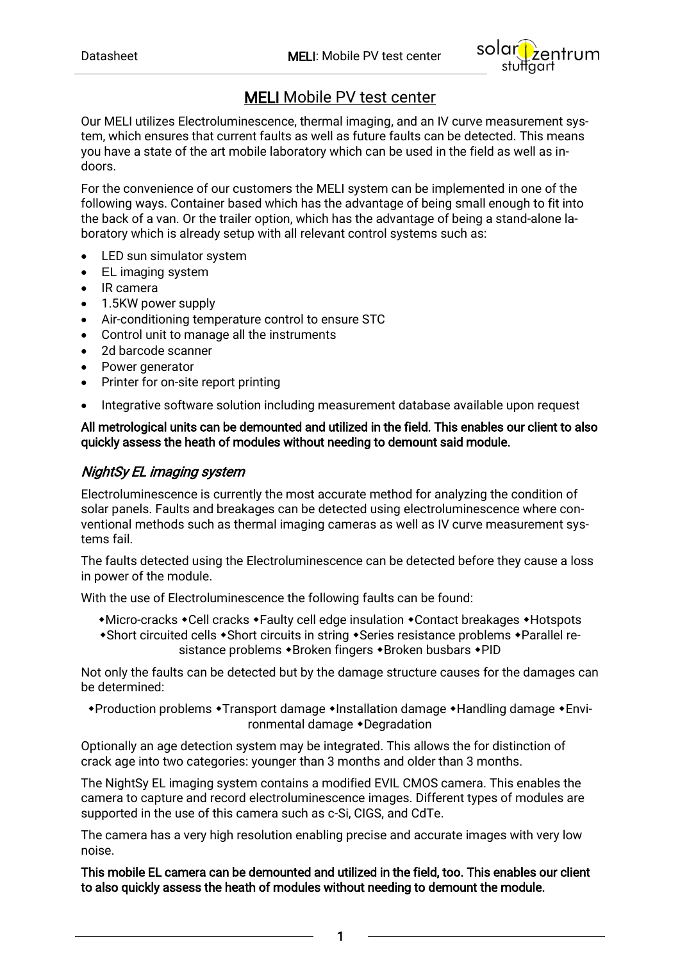

# MELI Mobile PV test center

Our MELI utilizes Electroluminescence, thermal imaging, and an IV curve measurement system, which ensures that current faults as well as future faults can be detected. This means you have a state of the art mobile laboratory which can be used in the field as well as indoors.

For the convenience of our customers the MELI system can be implemented in one of the following ways. Container based which has the advantage of being small enough to fit into the back of a van. Or the trailer option, which has the advantage of being a stand-alone laboratory which is already setup with all relevant control systems such as:

- LED sun simulator system
- EL imaging system
- IR camera
- 1.5KW power supply
- Air-conditioning temperature control to ensure STC
- Control unit to manage all the instruments
- 2d barcode scanner
- Power generator
- Printer for on-site report printing
- Integrative software solution including measurement database available upon request

#### All metrological units can be demounted and utilized in the field. This enables our client to also quickly assess the heath of modules without needing to demount said module.

## NightSy EL imaging system

Electroluminescence is currently the most accurate method for analyzing the condition of solar panels. Faults and breakages can be detected using electroluminescence where conventional methods such as thermal imaging cameras as well as IV curve measurement systems fail.

The faults detected using the Electroluminescence can be detected before they cause a loss in power of the module.

With the use of Electroluminescence the following faults can be found:

- Micro-cracks Cell cracks Faulty cell edge insulation Contact breakages Hotspots
- \*Short circuited cells \*Short circuits in string \*Series resistance problems \*Parallel resistance problems • Broken fingers • Broken busbars • PID

Not only the faults can be detected but by the damage structure causes for the damages can be determined:

• Production problems • Transport damage • Installation damage • Handling damage • Environmental damage • Degradation

Optionally an age detection system may be integrated. This allows the for distinction of crack age into two categories: younger than 3 months and older than 3 months.

The NightSy EL imaging system contains a modified EVIL CMOS camera. This enables the camera to capture and record electroluminescence images. Different types of modules are supported in the use of this camera such as c-Si, CIGS, and CdTe.

The camera has a very high resolution enabling precise and accurate images with very low noise.

This mobile EL camera can be demounted and utilized in the field, too. This enables our client to also quickly assess the heath of modules without needing to demount the module.

1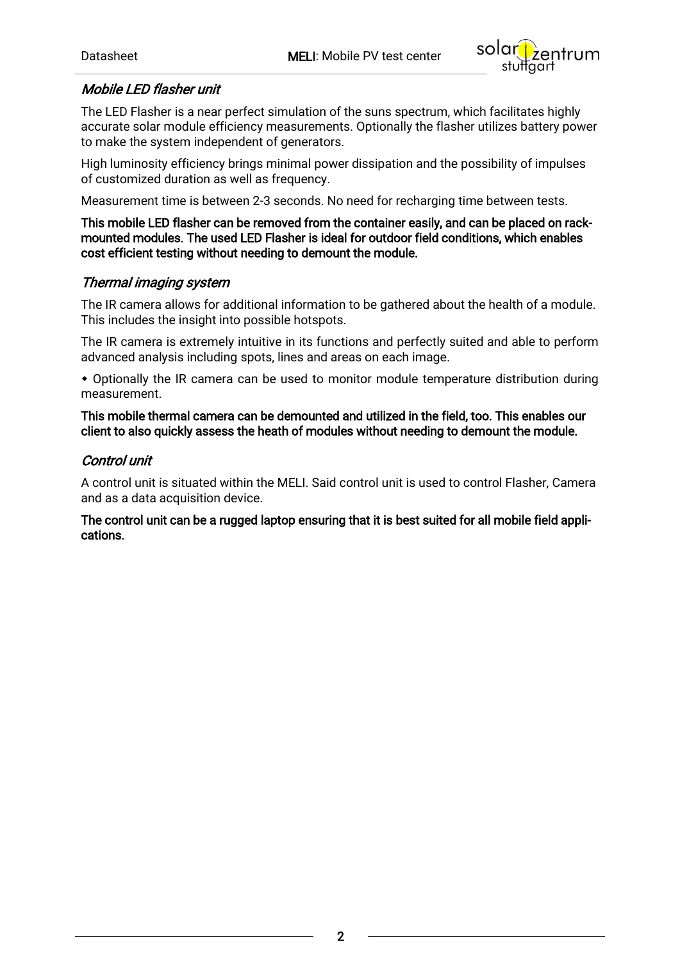

## Mobile LED flasher unit

The LED Flasher is a near perfect simulation of the suns spectrum, which facilitates highly accurate solar module efficiency measurements. Optionally the flasher utilizes battery power to make the system independent of generators.

High luminosity efficiency brings minimal power dissipation and the possibility of impulses of customized duration as well as frequency.

Measurement time is between 2-3 seconds. No need for recharging time between tests.

This mobile LED flasher can be removed from the container easily, and can be placed on rackmounted modules. The used LED Flasher is ideal for outdoor field conditions, which enables cost efficient testing without needing to demount the module.

## Thermal imaging system

The IR camera allows for additional information to be gathered about the health of a module. This includes the insight into possible hotspots.

The IR camera is extremely intuitive in its functions and perfectly suited and able to perform advanced analysis including spots, lines and areas on each image.

 Optionally the IR camera can be used to monitor module temperature distribution during measurement.

This mobile thermal camera can be demounted and utilized in the field, too. This enables our client to also quickly assess the heath of modules without needing to demount the module.

## Control unit

A control unit is situated within the MELI. Said control unit is used to control Flasher, Camera and as a data acquisition device.

The control unit can be a rugged laptop ensuring that it is best suited for all mobile field applications.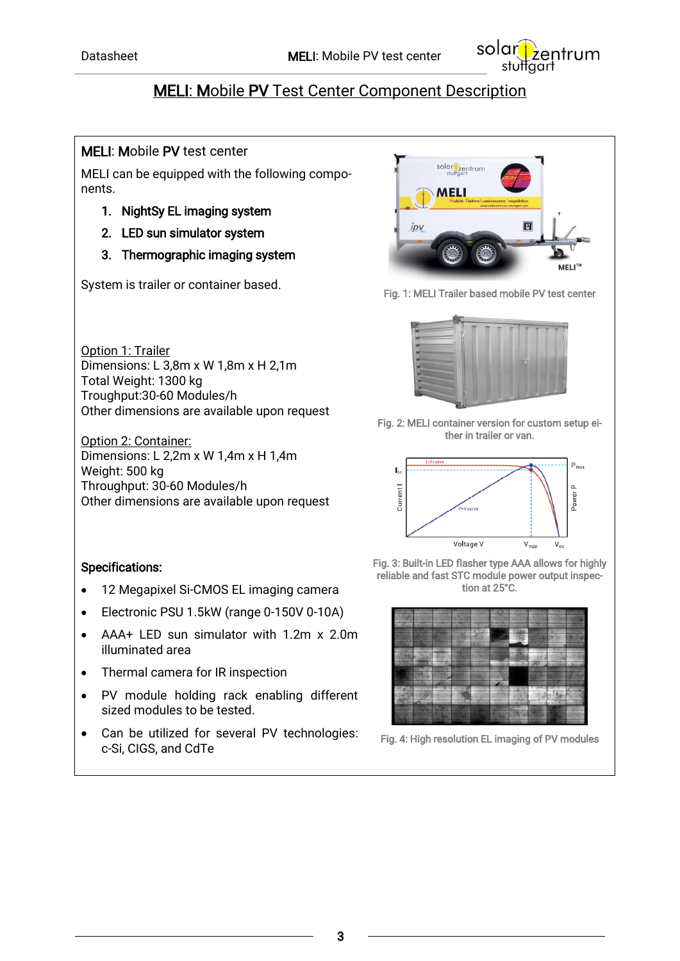solarCzentrum

# MELI: Mobile PV Test Center Component Description

## MELI: Mobile PV test center

MELI can be equipped with the following components.

- 1. NightSy EL imaging system
- 2. LED sun simulator system
- 3. Thermographic imaging system

System is trailer or container based.



Fig. 1: MELI Trailer based mobile PV test center



Fig. 2: MELI container version for custom setup either in trailer or van.



Fig. 3: Built-in LED flasher type AAA allows for highly reliable and fast STC module power output inspection at 25°C.



Fig. 4: High resolution EL imaging of PV modules

Option 1: Trailer Dimensions: L 3,8m x W 1,8m x H 2,1m Total Weight: 1300 kg Troughput:30-60 Modules/h Other dimensions are available upon request

Option 2: Container: Dimensions: L 2,2m x W 1,4m x H 1,4m Weight: 500 kg Throughput: 30-60 Modules/h Other dimensions are available upon request

#### Specifications:

- 12 Megapixel Si-CMOS EL imaging camera
- Electronic PSU 1.5kW (range 0-150V 0-10A)
- AAA+ LED sun simulator with 1.2m x 2.0m illuminated area
- Thermal camera for IR inspection
- PV module holding rack enabling different sized modules to be tested.
- Can be utilized for several PV technologies: c-Si, CIGS, and CdTe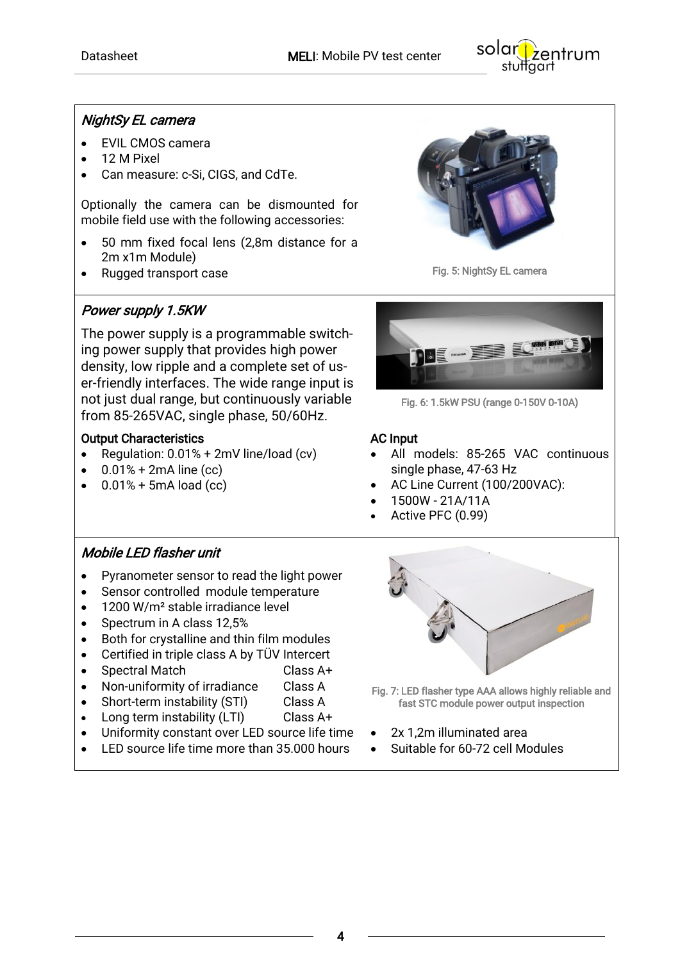

## NightSy EL camera

- EVIL CMOS camera
- 12 M Pixel
- Can measure: c-Si, CIGS, and CdTe.

Optionally the camera can be dismounted for mobile field use with the following accessories:

- 50 mm fixed focal lens (2,8m distance for a 2m x1m Module)
- Rugged transport case Fig. 5: NightSy EL camera

# Power supply 1.5KW

The power supply is a programmable switching power supply that provides high power density, low ripple and a complete set of user-friendly interfaces. The wide range input is not just dual range, but continuously variable from 85-265VAC, single phase, 50/60Hz.

#### Output Characteristics

- Regulation: 0.01% + 2mV line/load (cv)
- $\bullet$  0.01% + 2mA line (cc)
- $\bullet$  0.01% + 5mA load (cc)

## Mobile LED flasher unit

- Pyranometer sensor to read the light power
- Sensor controlled module temperature
- 1200 W/m<sup>2</sup> stable irradiance level
- Spectrum in A class 12,5%
- Both for crystalline and thin film modules
- Certified in triple class A by TÜV Intercert
- Spectral Match Class A+
- Non-uniformity of irradiance Class A
- Short-term instability (STI) Class A
- Long term instability (LTI) Class A+
- Uniformity constant over LED source life time
- LED source life time more than 35.000 hours





Fig. 6: 1.5kW PSU (range 0-150V 0-10A)

## AC Input

- All models: 85-265 VAC continuous single phase, 47-63 Hz
- AC Line Current (100/200VAC):
- 1500W 21A/11A
- Active PFC (0.99)



Fig. 7: LED flasher type AAA allows highly reliable and fast STC module power output inspection

- 2x 1,2m illuminated area
- Suitable for 60-72 cell Modules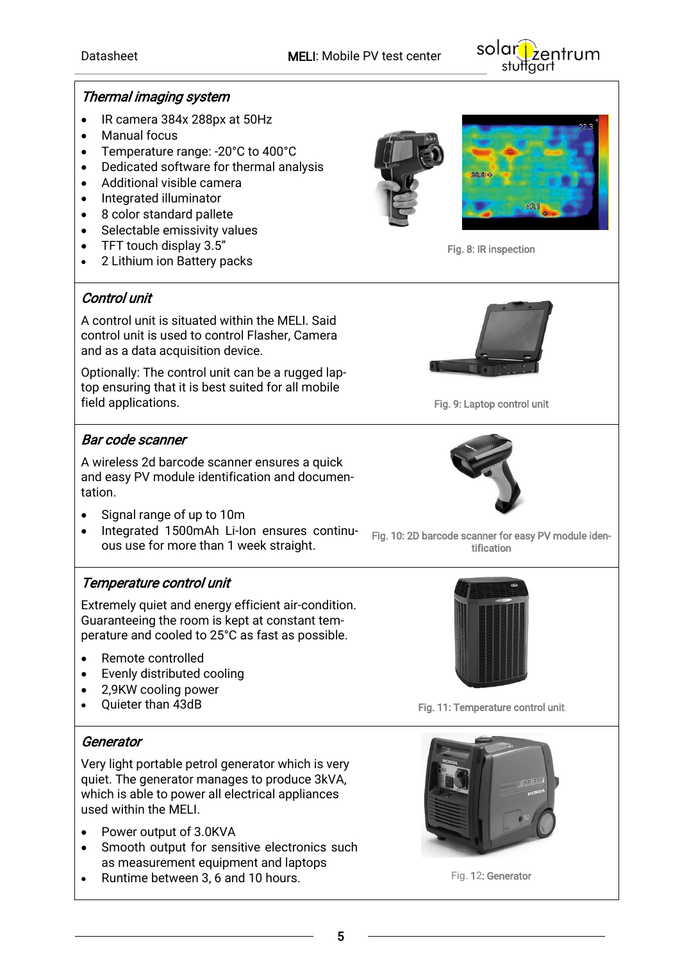

#### Thermal imaging system

- IR camera 384x 288px at 50Hz
- Manual focus
- Temperature range: -20°C to 400°C
- Dedicated software for thermal analysis
- Additional visible camera
- Integrated illuminator
- 8 color standard pallete
- Selectable emissivity values
- TFT touch display 3.5"
- 2 Lithium ion Battery packs

## Control unit

A control unit is situated within the MELI. Said control unit is used to control Flasher, Camera and as a data acquisition device.

Optionally: The control unit can be a rugged laptop ensuring that it is best suited for all mobile **field applications.** The state of the state of the state of the state of the state of the state of the state of the state of the state of the state of the state of the state of the state of the state of the state of the s

## Bar code scanner

A wireless 2d barcode scanner ensures a quick and easy PV module identification and documentation.

- Signal range of up to 10m
- Integrated 1500mAh Li-Ion ensures continuous use for more than 1 week straight.

#### Temperature control unit

Extremely quiet and energy efficient air-condition. Guaranteeing the room is kept at constant temperature and cooled to 25°C as fast as possible.

- Remote controlled
- Evenly distributed cooling
- 2,9KW cooling power
- 

#### **Generator**

Very light portable petrol generator which is very quiet. The generator manages to produce 3kVA, which is able to power all electrical appliances used within the MELI.

- Power output of 3.0KVA
- Smooth output for sensitive electronics such as measurement equipment and laptops
- Runtime between 3, 6 and 10 hours. The state of the Fig. 12: Generator





Fig. 8: IR inspection



Fig. 10: 2D barcode scanner for easy PV module identification



• Quieter than 43dB Gases and the Control unit of the Control unit